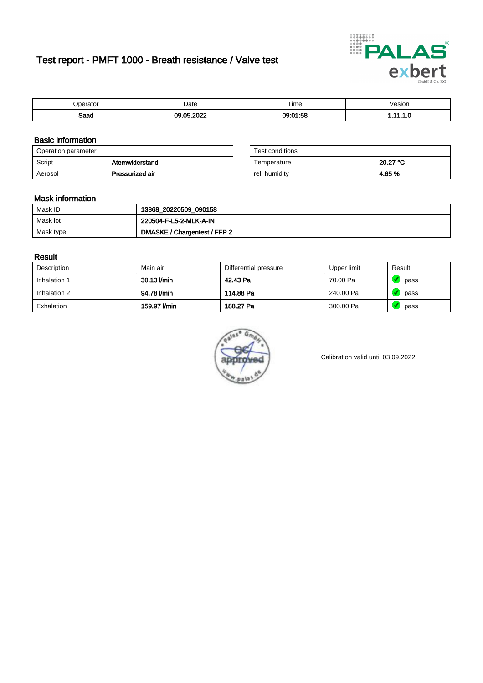# Test report - PMFT 1000 - Breath resistance / Valve test



| maxmax<br>ator | Date | $- \cdot$<br>Time          | esion/ |
|----------------|------|----------------------------|--------|
| Saad           | 0000 | $-$<br>0.01<br>. IN<br>.oo | .      |

### Basic information

| Operation parameter |                 | Test conditions |          |
|---------------------|-----------------|-----------------|----------|
| Script              | Atemwiderstand  | Temperature     | 20.27 °C |
| Aerosol             | Pressurized air | rel. humidity   | 4.65%    |

| Test conditions |          |
|-----------------|----------|
| Temperature     | 20.27 °C |
| rel. humidity   | 4.65 %   |

#### Mask information

| Mask ID   | 13868_20220509_090158        |
|-----------|------------------------------|
| Mask lot  | 220504-F-L5-2-MLK-A-IN       |
| Mask type | DMASKE / Chargentest / FFP 2 |

### Result

| Description  | Main air     | Differential pressure | Upper limit | Result |
|--------------|--------------|-----------------------|-------------|--------|
| Inhalation 1 | 30.13 l/min  | 42.43 Pa              | 70.00 Pa    | pass   |
| Inhalation 2 | 94.78 l/min  | 114.88 Pa             | 240.00 Pa   | pass   |
| Exhalation   | 159.97 l/min | 188.27 Pa             | 300.00 Pa   | pass   |



Calibration valid until 03.09.2022